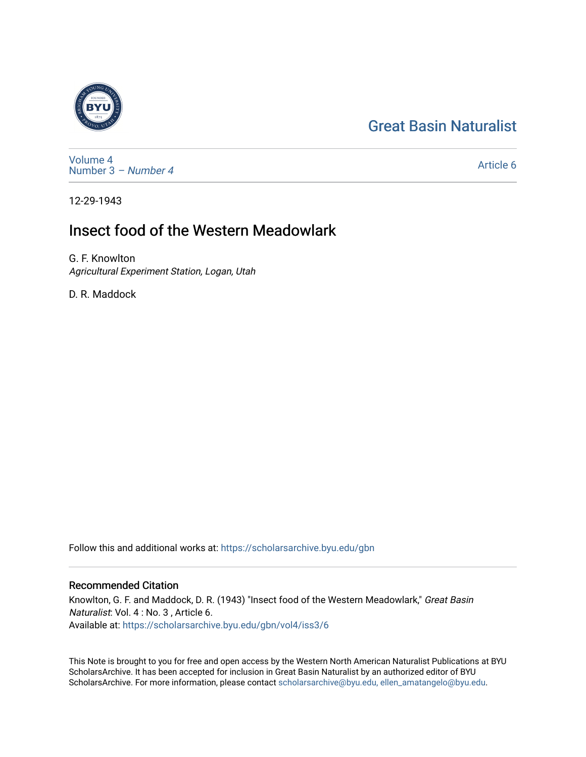## [Great Basin Naturalist](https://scholarsarchive.byu.edu/gbn)



[Volume 4](https://scholarsarchive.byu.edu/gbn/vol4) [Number 3](https://scholarsarchive.byu.edu/gbn/vol4/iss3) – Number 4

[Article 6](https://scholarsarchive.byu.edu/gbn/vol4/iss3/6) 

12-29-1943

## Insect food of the Western Meadowlark

G. F. Knowlton Agricultural Experiment Station, Logan, Utah

D. R. Maddock

Follow this and additional works at: [https://scholarsarchive.byu.edu/gbn](https://scholarsarchive.byu.edu/gbn?utm_source=scholarsarchive.byu.edu%2Fgbn%2Fvol4%2Fiss3%2F6&utm_medium=PDF&utm_campaign=PDFCoverPages) 

## Recommended Citation

Knowlton, G. F. and Maddock, D. R. (1943) "Insect food of the Western Meadowlark," Great Basin Naturalist: Vol. 4 : No. 3 , Article 6. Available at: [https://scholarsarchive.byu.edu/gbn/vol4/iss3/6](https://scholarsarchive.byu.edu/gbn/vol4/iss3/6?utm_source=scholarsarchive.byu.edu%2Fgbn%2Fvol4%2Fiss3%2F6&utm_medium=PDF&utm_campaign=PDFCoverPages) 

This Note is brought to you for free and open access by the Western North American Naturalist Publications at BYU ScholarsArchive. It has been accepted for inclusion in Great Basin Naturalist by an authorized editor of BYU ScholarsArchive. For more information, please contact [scholarsarchive@byu.edu, ellen\\_amatangelo@byu.edu.](mailto:scholarsarchive@byu.edu,%20ellen_amatangelo@byu.edu)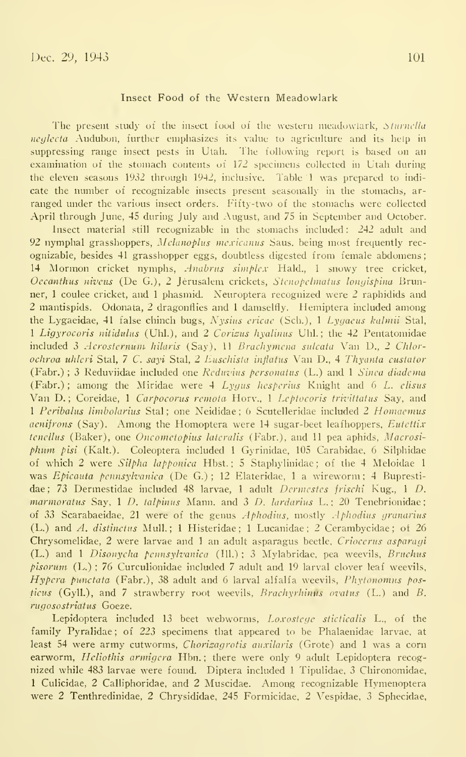## Insect Food of the Western Meadowlark

The present study of the insect food of the western meadowlark, Sturnella neglecta Audubon, further emphasizes its value to agriculture and its help in suppressing range insect pests in Utah. The following report is based on an examination of the stomach contents of 172 specimens collected in Utah during the eleven seasons 1932 through 1942, inclusive. Table <sup>1</sup> was prepared to indi cate the number of recognizable insects present seasonally in the stomachs, ar ranged under the various insect orders. Fifty-two of the stomachs were collected April through June, 45 during July and August, and 75 in September and October.

Insect material still recognizable in the stomachs included: 242 adult and 92 nymphal grasshoppers, Mclanoplus mexicanus Saus. being most frequently recognizable, besides 41 grasshopper eggs, doubtless digested from female abdomens 14 Mormon cricket nymphs, *Anabrus simplex* Hald., 1 snowy tree cricket, Oecanthus niveus (De G.), 2 Jerusalem crickets, Stcnopclmatus lonyispina Brunner, <sup>1</sup> coulee cricket, and <sup>1</sup> phasmid. Neuroptera recognized were 2 raphidids and 2 mantispids. Odonata, 2 dragonflies and <sup>1</sup> damselfly. Hemiptera included among the Lygaeidae, 41 false chinch bugs, Nysius ericac (Sch.), <sup>1</sup> Lygacus kalmii Stal, 1 Ligyrocoris nitidulus (Uhl.), and 2 Corizus hyalinus Uhl.; the 42 Pentatomidae included 3 Acrosternum hilaris (Say), 11 Brachymena sulcata Van D., 2 Chlorochroa uhleri Stal, <sup>7</sup> C. sayi Stal, 2 Euschista inflatus Van D., 4 Thyanta custator (Fabr.); 3 Reduviidae included one Reduvius personatus (L.) and 1 Sinea diadema (Fabr.); among the Miridae were  $4$  Lygus hesperius Knight and 6 L. elisus Van D.; Coreidae, 1 Carpocorus remota Hory., 1 Leptocoris trivittatus Say, and 1 Peribalus limbolarius Stal; one Neididae; 6 Scutelleridae included 2 Homaemus aenifrons (Say). Among the Homoptera were 14 sugar-beet leafhoppers, Eutettix tenellus (Baker), one *Oncometopius lateralis* (Fabr.), and 11 pea aphids, *Macrosi*phimi pisi (Kalt.). Coleoptera included <sup>1</sup> Gyrinidae, 105 Carabidae, 6 Silphidae of which 2 were Silpha lapponica Hbst.; 5 Staphylinidae; of the 4 Meloidae 1 was Epicauta pennsylvanica (De G.); 12 Elateridae, 1 a wireworm; 4 Buprestidae; 73 Dermestidae included 48 larvae, 1 adult Dermestes frischi Kug., 1 D. marmoratus Say,  $1$  D. talpinus Mann, and  $3$  D. lardarius L.; 20 Tenebrionidae; of 33 Scarabaeidae, 21 were of the genus  $Aphodius$ , mostly  $Aphodius$  granarius (L.) and A. distinctns Mull. ; <sup>1</sup> Histeridae ; <sup>1</sup> Lucanidae ; 2 Cerambycidae ; of 26 Chrysomelidae, 2 were larvae and <sup>1</sup> an adult asparagus beetle, Criocerns asparagi (L.) and 1 Disonycha pennsylvanica (Ill.); 3 Mylabridae, pea weevils, Bruchus pisormn (L.) ; 76 Curculionidae included 7 adult and 19 larval clover leaf weevils, Hypera punctata (Fabr.), 38 adult and 6 larval alfalfa weevils, Phytonomus posticus (Gyll.), and  $7$  strawberry root weevils, Brachyrhimus ovatus (L.) and B. rugosostriatus Goeze.

Lepidoptera included 13 beet webworms, Loxostcyc sticticalis L., of the family Pyralidae; of 223 specimens that appeared to be Phalaenidae larvae, at least 54 were army cutworms, *Chorisagrotis auxilaris* (Grote) and 1 was a corn earworm, Heliothis armigera Hbn.; there were only 9 adult Lepidoptera recognized while 483 larvae were found. Diptera included <sup>1</sup>Tipulidae, 3 Chironomidae, <sup>1</sup> Culicidae, 2 Calliphoridae, and 2 Muscidae. Among recognizable Hymenoptera were 2 Tenthredinidae, 2 Chrysididae, 245 Formicidae, 2 Vespidae, 3 Sphecidae,